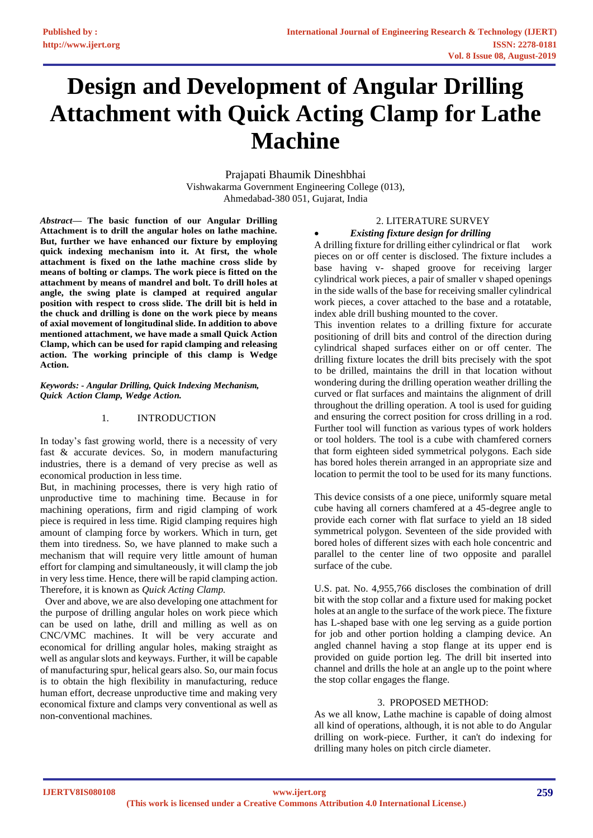# **Design and Development of Angular Drilling Attachment with Quick Acting Clamp for Lathe Machine**

Prajapati Bhaumik Dineshbhai Vishwakarma Government Engineering College (013), Ahmedabad-380 051, Gujarat, India

*Abstract***— The basic function of our Angular Drilling Attachment is to drill the angular holes on lathe machine. But, further we have enhanced our fixture by employing quick indexing mechanism into it. At first, the whole attachment is fixed on the lathe machine cross slide by means of bolting or clamps. The work piece is fitted on the attachment by means of mandrel and bolt. To drill holes at angle, the swing plate is clamped at required angular position with respect to cross slide. The drill bit is held in the chuck and drilling is done on the work piece by means of axial movement of longitudinal slide. In addition to above mentioned attachment, we have made a small Quick Action Clamp, which can be used for rapid clamping and releasing action. The working principle of this clamp is Wedge Action.**

*Keywords: - Angular Drilling, Quick Indexing Mechanism, Quick Action Clamp, Wedge Action.*

### 1. INTRODUCTION

In today's fast growing world, there is a necessity of very fast & accurate devices. So, in modern manufacturing industries, there is a demand of very precise as well as economical production in less time.

But, in machining processes, there is very high ratio of unproductive time to machining time. Because in for machining operations, firm and rigid clamping of work piece is required in less time. Rigid clamping requires high amount of clamping force by workers. Which in turn, get them into tiredness. So, we have planned to make such a mechanism that will require very little amount of human effort for clamping and simultaneously, it will clamp the job in very less time. Hence, there will be rapid clamping action. Therefore, it is known as *Quick Acting Clamp.* 

 Over and above, we are also developing one attachment for the purpose of drilling angular holes on work piece which can be used on lathe, drill and milling as well as on CNC/VMC machines. It will be very accurate and economical for drilling angular holes, making straight as well as angular slots and keyways. Further, it will be capable of manufacturing spur, helical gears also. So, our main focus is to obtain the high flexibility in manufacturing, reduce human effort, decrease unproductive time and making very economical fixture and clamps very conventional as well as non-conventional machines.

## 2. LITERATURE SURVEY

#### • *Existing fixture design for drilling*

A drilling fixture for drilling either cylindrical or flat work pieces on or off center is disclosed. The fixture includes a base having v- shaped groove for receiving larger cylindrical work pieces, a pair of smaller v shaped openings in the side walls of the base for receiving smaller cylindrical work pieces, a cover attached to the base and a rotatable, index able drill bushing mounted to the cover.

This invention relates to a drilling fixture for accurate positioning of drill bits and control of the direction during cylindrical shaped surfaces either on or off center. The drilling fixture locates the drill bits precisely with the spot to be drilled, maintains the drill in that location without wondering during the drilling operation weather drilling the curved or flat surfaces and maintains the alignment of drill throughout the drilling operation. A tool is used for guiding and ensuring the correct position for cross drilling in a rod. Further tool will function as various types of work holders or tool holders. The tool is a cube with chamfered corners that form eighteen sided symmetrical polygons. Each side has bored holes therein arranged in an appropriate size and location to permit the tool to be used for its many functions.

This device consists of a one piece, uniformly square metal cube having all corners chamfered at a 45-degree angle to provide each corner with flat surface to yield an 18 sided symmetrical polygon. Seventeen of the side provided with bored holes of different sizes with each hole concentric and parallel to the center line of two opposite and parallel surface of the cube.

U.S. pat. No. 4,955,766 discloses the combination of drill bit with the stop collar and a fixture used for making pocket holes at an angle to the surface of the work piece. The fixture has L-shaped base with one leg serving as a guide portion for job and other portion holding a clamping device. An angled channel having a stop flange at its upper end is provided on guide portion leg. The drill bit inserted into channel and drills the hole at an angle up to the point where the stop collar engages the flange.

### 3. PROPOSED METHOD:

As we all know, Lathe machine is capable of doing almost all kind of operations, although, it is not able to do Angular drilling on work-piece. Further, it can't do indexing for drilling many holes on pitch circle diameter.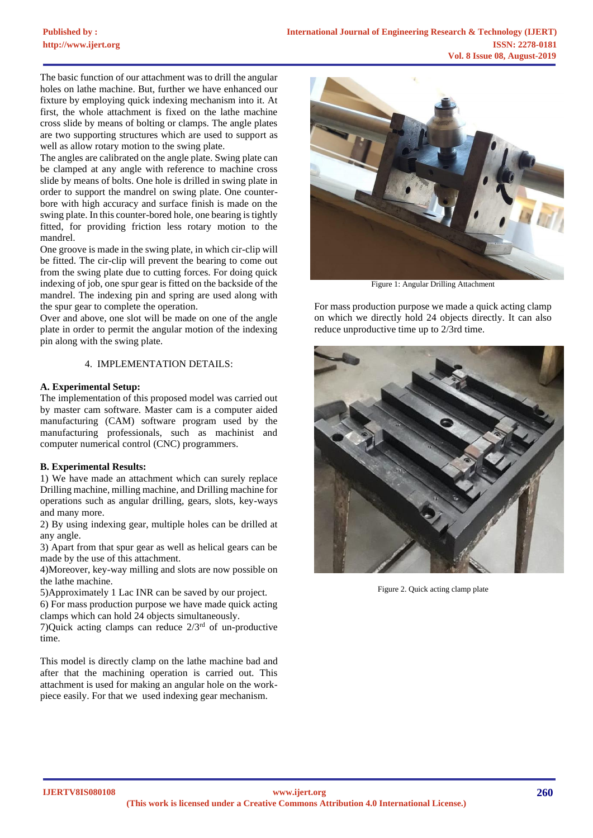The basic function of our attachment was to drill the angular holes on lathe machine. But, further we have enhanced our fixture by employing quick indexing mechanism into it. At first, the whole attachment is fixed on the lathe machine cross slide by means of bolting or clamps. The angle plates are two supporting structures which are used to support as well as allow rotary motion to the swing plate.

The angles are calibrated on the angle plate. Swing plate can be clamped at any angle with reference to machine cross slide by means of bolts. One hole is drilled in swing plate in order to support the mandrel on swing plate. One counterbore with high accuracy and surface finish is made on the swing plate. In this counter-bored hole, one bearing is tightly fitted, for providing friction less rotary motion to the mandrel.

One groove is made in the swing plate, in which cir-clip will be fitted. The cir-clip will prevent the bearing to come out from the swing plate due to cutting forces. For doing quick indexing of job, one spur gear is fitted on the backside of the mandrel. The indexing pin and spring are used along with the spur gear to complete the operation.

Over and above, one slot will be made on one of the angle plate in order to permit the angular motion of the indexing pin along with the swing plate.

### 4. IMPLEMENTATION DETAILS:

### **A. Experimental Setup:**

The implementation of this proposed model was carried out by master cam software. Master cam is a computer aided manufacturing (CAM) software program used by the manufacturing professionals, such as machinist and computer numerical control (CNC) programmers.

### **B. Experimental Results:**

1) We have made an attachment which can surely replace Drilling machine, milling machine, and Drilling machine for operations such as angular drilling, gears, slots, key-ways and many more.

2) By using indexing gear, multiple holes can be drilled at any angle.

3) Apart from that spur gear as well as helical gears can be made by the use of this attachment.

4)Moreover, key-way milling and slots are now possible on the lathe machine.

5)Approximately 1 Lac INR can be saved by our project.

6) For mass production purpose we have made quick acting clamps which can hold 24 objects simultaneously.

7) Quick acting clamps can reduce  $2/3^{rd}$  of un-productive time.

This model is directly clamp on the lathe machine bad and after that the machining operation is carried out. This attachment is used for making an angular hole on the workpiece easily. For that we used indexing gear mechanism.



Figure 1: Angular Drilling Attachment

For mass production purpose we made a quick acting clamp on which we directly hold 24 objects directly. It can also reduce unproductive time up to 2/3rd time.



Figure 2. Quick acting clamp plate